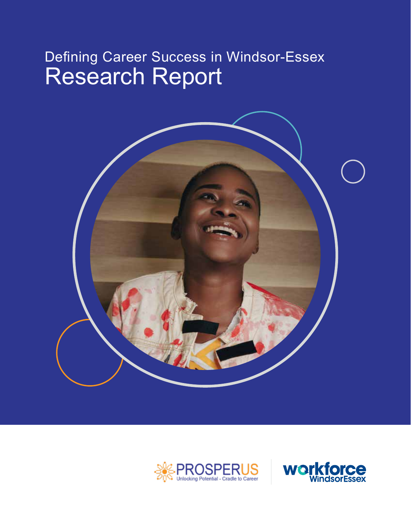# Defining Career Success in Windsor-Essex Research Report





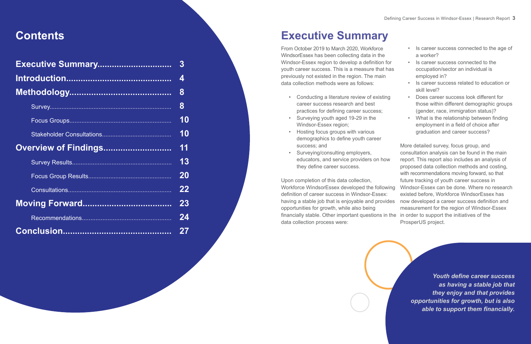# **Contents**

|                             | 4  |
|-----------------------------|----|
|                             | 8  |
|                             | 8  |
|                             | 10 |
|                             | 10 |
| <b>Overview of Findings</b> | 11 |
|                             | 13 |
|                             | 20 |
|                             | 22 |
|                             | 23 |
|                             | 24 |
|                             | 27 |

# **Executive Summary**

From October 2019 to March 2020, Workforce WindsorEssex has been collecting data in the Windsor-Essex region to develop a definition for youth career success. This is a measure that has previously not existed in the region. The main data collection methods were as follows:

- Conducting a literature review of existing career success research and best practices for defining career success;
- Surveying youth aged 19-29 in the Windsor-Essex region;
- Hosting focus groups with various demographics to define youth career success; and
- they define career success.
- Is career success connected to the age of a worker?
- 
- Is career success connected to the occupation/sector an individual is employed in?
- Is career success related to education or skill level?
- Does career success look different for those within different demographic groups (gender, race, immigration status)?
- What is the relationship between finding employment in a field of choice after graduation and career success?

• Surveying/consulting employers, educators, and service providers on how Upon completion of this data collection, Workforce WindsorEssex developed the following definition of career success in Windsor-Essex: having a stable job that is enjoyable and provides opportunities for growth, while also being financially stable. Other important questions in the in order to support the initiatives of the data collection process were: More detailed survey, focus group, and consultation analysis can be found in the main report. This report also includes an analysis of proposed data collection methods and costing, with recommendations moving forward, so that future tracking of youth career success in Windsor-Essex can be done. Where no research existed before, Workforce WindsorEssex has now developed a career success definition and measurement for the region of Windsor-Essex ProsperUS project.

*Youth define career success as having a stable job that they enjoy and that provides opportunities for growth, but is also able to support them financially.*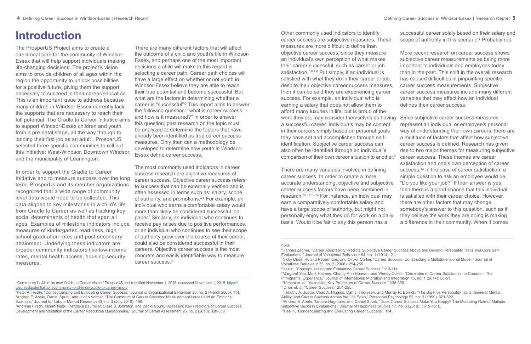# **Introduction**

The ProsperUS Project aims to create a directional plan for the community of Windsor-Essex that will help support individuals making life-changing decisions. The project's vision aims to provide children of all ages within the region the opportunity to unlock possibilities for a positive future, giving them the support necessary to succeed in their career/education. This is an important issue to address because many children in Windsor-Essex currently lack the supports that are necessary to reach their full potential. The Cradle to Career initiative aims to support Windsor-Essex children and youth from a pre-natal stage, all the way through to landing their first job as an adult<sup>1</sup>. ProsperUS selected three specific communities to roll out this initiative: West-Windsor, Downtown Windsor, and the municipality of Leamington.

In order to support the Cradle to Career Initiative and to measure success over the long term, ProsperUs and its member organizations recognized that a wide range of community level data would need to be collected. This data aligned to key milestones in a child's life from Cradle to Career as well as tracking key social determinants of health that span all ages. Examples of milestone indicators include measures of kindergarten readiness, high school graduation rates and post-secondary attainment. Underlying these indicators are broader community indicators like low-income rates, mental health access, housing security measures.

There are many different factors that will affect the outcome of a child and youth's life in Windsor-Essex, and perhaps one of the most important decisions a child will make in this regard is selecting a career path. Career path choices will have a large effect on whether or not youth in Windsor-Essex believe they are able to reach their true potential and become successful. But what are the factors in determining whether a career is "successful"? This report aims to answer the following question: "what is career success and how is it measured?" In order to answer this question, past research on the topic must be analyzed to determine the factors that have already been identified as true career success measures. Only then can a methodology be developed to determine how youth in Windsor-Essex define career success.

The most commonly used indicators in career success research are objective measures of career success. Objective career success refers to success that can be externally verified and is often assessed in terms such as: salary, scope of authority, and promotions.2,3 For example, an individual who earns a comfortable salary would more than likely be considered successful 'on paper.' Similarly, an individual who continues to receive pay raises due to positive performances, or an individual who continues to see their scope of authority grow over the course of their career, could also be considered successful in their careers. Objective career success is the most concrete and easily identifiable way to measure career success.<sup>4</sup>

Other commonly used indicators to identify career success are subjective measures. These measures are more difficult to define than objective career success, since they measure an individual's own perception of what makes their career successful, such as career or job satisfaction.<sup>5,6,7,8</sup> Put simply, if an individual is satisfied with what they do in their career or job, despite their objective career success measures, then it can be said they are experiencing career success. For example, an individual who is earning a salary that does not allow them to afford many luxuries in life, but is proud of the a successful career. Individuals may be content in their careers simply based on personal goals they have set and accomplished through selfidentification. Subjective career success can also often be identified through an individual's comparison of their own career situation to another.9

There are many variables involved in defining career success. In order to create a more accurate understanding, objective and subjective career success factors have been combined in research.10,11,12,13 For instance, an individual may earn a comparatively comfortable salary and have a large scope of authority, but might not personally enjoy what they do for work on a daily basis. Would it be fair to say this person has a

successful career solely based on their salary and scope of authority in this scenario? Probably not.

More recent research on career success shows subjective career measurements as being more important to individuals and employees today than in the past. This shift in the overall research has caused difficulties in pinpointing specific

- career success measurements. Subjective career success measures include many different variables that may affect how an individual defines their career success.
- work they do, may consider themselves as having Since subjective career success measures represent an individual or employee's personal way of understanding their own careers, there are a multitude of factors that affect how subjective career success is defined. Research has given rise to two major themes for measuring subjective
	- career success. These themes are career satisfaction and one's own perception of career success.<sup>14</sup> In the case of career satisfaction, a simple question to ask an employee would be,
	- "Do you like your job?" If their answer is yes, then there is a good chance that this individual
	- is satisfied with their career choice. However, there are other factors that may change somebody's answer to this question, such as if
	- they believe the work they are doing is making a difference in their community. When it comes

5 Ibid.

 <sup>1</sup>Community is 'All In' on new Cradle to Career Vision," ProsperUS, last modified November 1, 2018, accessed November 1, 2019, https:// weunlockpotential.com/community-is-all-in-on-cradle-to-career-vision/

<sup>2</sup> Peter A. Heslin, "Conceptualizing and Evaluating Career Success," Journal of Organizational Behaviour 26, no. 2 (March 2005): 114. 3 Andrea E. Abele, Daniel Spurk, and Judith Volmer, "The Construct of Career Success: Measurement Issues and an Empirical Example," Journal for Labour Market Research 43, no. 3 (July 2010): 196.

<sup>4</sup> Andreas Hirschi, Noemi Nagy, Franziska Baumeler, Claire S. Johnston, and Daniel Spurk, "Assessing Key Predictors of Career Success: Development and Validation of the Career Resources Questionnaire," Journal of Career Assessment 26, no. 2 (2018): 338-339.

<sup>6</sup> Hannes Zacher, "Career Adaptability Predicts Subjective Career Success Above and Beyond Personality Traits and Core Self-Evaluations," Journal of Vocational Behaviour 84, no. 1 (2014): 21. 7 Nicky Dries, Roland Pepermans, and Olivier Carlier, "Career Success: Constructing a Multidimensional Model," Journal of Vocational Behaviour 73, no. 2 (2008): 254-255. 8 Heslin, "Conceptualizing and Evaluating Career Success," 113-114. 9 Margaret Yap, Mark Holmes, Charity-Ann Hannan, and Wendy Cukier, "Correlates of Career Satisfaction in Canada – The Immigrants' Experience," Journal of International Migration and Integration 15, no. 1 (2014): 50-51. 10Hirschi et. al, "Assessing Key Predictors of Career Success," 338-339.

<sup>11</sup>Dries et. al, "Career Success," 254-255.

<sup>&</sup>lt;sup>12</sup>Timothy A. Judge, Chad A. Higgins, Carl J. Thoresen, and Murray R. Barrick, "The Big Five Personality Traits, General Mental Ability, and Career Success Across the Life Span," Personnel Psychology 52, no. 3 (1999): 621-622. 13Andrea E. Abele, Tamara Hagmaier, and Daniel Spurk, "Does Career Success Make You Happy? The Mediating Role of Multiple Subjective Success Evaluations," Journal of Happiness Studies 17, no. 3 (2016): 1615-1616. 14Heslin, "Conceptualizing and Evaluating Career Success," 114.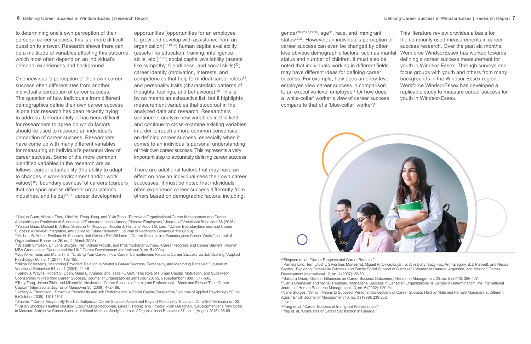One individual's perception of their own career success often differentiates from another individual's perception of career success. The question of how individuals from different demographics define their own career success is one that research has been recently trying to address. Unfortunately, it has been difficult for researchers to agree on which factors should be used to measure an individual's perception of career success. Researchers have come up with many different variables for measuring an individual's personal view of career success. Some of the more common, identified variables in the research are as follows: career adaptability (the ability to adapt to changes in work environment and/or work values)15; 'boundarylessness' of careers (careers that can span across different organizations, industries, and fields)<sup>16,17</sup>; career development

to determining one's own perception of their personal career success, this is a more difficult question to answer. Research shows there can be a multitude of variables affecting this outcome, which most often depend on an individual's personal experiences and background.

opportunities (opportunities for an employee to grow and develop with assistance from an organization)18,19,20; human capital availability (assets like education, training, intelligence, skills, etc.) $2^{1,22}$ ; social capital availability (assets like sympathy, friendliness, and social skills) $23$ ; career identity (motivation, interests, and competencies that help form ideal career roles) $24$ ; and personality traits (characteristic patterns of thoughts, feelings, and behaviours).25 This is by no means an exhaustive list, but it highlights measurement variables that stood out in the analyzed data and research. Researchers continue to analyze new variables in this field and continue to cross-examine existing variables in order to reach a more common consensus on defining career success, especially when it comes to an individual's personal understanding of their own career success. This represents a very important step to accurately defining career success.

There are additional factors that may have an effect on how an individual sees their own career successes. It must be noted that individuals often experience career success differently from others based on demographic factors, including:

> <sup>26</sup>Simpson et. al, "Career Progress and Career Barriers." <sup>27</sup>Pamela Lirio, Terri Lituchy, Silvia Ines Monserrat, Miguel R. Olivas-Luján, Jo Ann Duffy, Suzy Fox, Ann Gregory, B.J. Punnett, and Neusa Santos, "Exploring Career-Life Success and Family Social Support of Successful Women in Canada, Argentina, and Mexico," Career Development International 12, no. 1 (2007): 28-50.

- 15Yanjun Guan, Wenxia Zhou, Lihui Ye, Peng Jiang, and Yixin Zhou, "Perceived Organizational Career Management and Career Adaptability as Predictors of Success and Turnover Intention Among Chinese Employees," Journal of Vocational Behaviour 88 (2015). 16Yanjun Guan, Michael B. Arthur, Svetlana N. Khapova, Rosalie J. Hall, and Robert G. Lord, "Career Boundarylessness and Career Success: A Review, Integration, and Guide to Future Research," Journal of Vocational Behaviour 110 (2019).
- 17Michael B. Arthur, Svetlana N. Khapova, and Celeste PM Wilderom, "Career Success in a Boundaryless Career World," Journal of Organizational Behaviour 26, no. 2 (March 2005).
- 18Dr. Ruth Simpson, Dr. Jane Sturges, Prof. Adrian Woods, and Prof. Yochanan Altman, "Career Progress and Career Barriers: Women MBA Graduates in Canada and the UK," Career Development International 9, no. 5 (2004).
- 19Jos Akkermans and Maria Tims, "Crafting Your Career: How Career Competencies Relate to Career Success via Job Crafting," Applied Psychology 66, no. 1 (2017): 168-195.
- 20Nikos Bozionelos, "Mentoring Provided: Relation to Mentor's Career Success, Personality, and Mentoring Received," Journal of Vocational Behaviour 64, no. 1 (2004): 24-46.
- 21Sandy J. Wayne, Robert C. Liden, Maria L. Kraimer, and Isabel K. Graf, "The Role of Human Capital, Motivation, and Supervisor Sponsorship in Predicting Career Success," Journal of Organizational Behaviour 20, no. 5 (September 1999): 577-595.
- <sup>22</sup>Tony Fang, Jelena Zikic, and Milorad M. Novicevic, "Career Success of Immigrant Professionals: Stock and Flow of Their Career Capital," International Journal of Manpower 30 (2009): 472-488.
- <sup>23</sup> Jeffery A. Thompson, "Proactive Personality and Job Performance: A Social Capital Perspective," Journal of Applied Psychology 90, no. 5 (October 2005): 1101-1107.
- <sup>24</sup>Zacher, ""Career Adaptability Predicts Subjective Career Success Above and Beyond Personality Traits and Core Self-Evaluations," 22. 25Kristen Shockley, Heather Ureskoy, Ozgun Burcu Rodopman, Laura F. Poteat, and Timothy Ryan Dullaghan, "Development of a New Scale to Measure Subjective Career Success: A Mixed-Methods Study," Journal of Organizational Behaviour 37, no. 1 (August 2015): 35-69.

gender26,27,28,29,30, age31, race, and immigrant status<sup>32,33</sup>. However, an individual's perception of career success can even be changed by other status and number of children. It must also be noted that individuals working in different fields may have different ideas for defining career success. For example, how does an entry-level employee view career success in comparison to an executive-level employee? Or how does a 'white-collar' worker's view of career success compare to that of a 'blue-collar' worker?



This literature review provides a basis for

- the commonly used measurements in career success research. Over the past six months,
- less obvious demographic factors, such as marital Workforce WindsorEssex has worked towards defining a career success measurement for youth in Windsor-Essex. Through surveys and focus groups with youth and others from many backgrounds in the Windsor-Essex region, Workforce WindsorEssex has developed a replicable study to measure career success for youth in Windsor-Essex.

- 29Denis Chênevert and Michel Tremblay, "Managerial Success in Canadian Organizations: Is Gender a Determinant?" The International
	-

28Barbara Orser, "Gender Influences on Career Success Outcomes," Gender in Management 25, no. 5 (2010): 386-407. Journal of Human Resource Management 13, no. 6 (2002): 920-941. 30 Jane Sturges, "What it Means to Succeed: Personal Conceptions of Career Success Held by Male and Female Managers at Different Ages," British Journal of Management 10, no. 3 (1999): 239-252. 31Ibid.

32Fang et. al, "Career Success of Immigrant Professionals." 33Yap et. al, "Correlates of Career Satisfaction in Canada."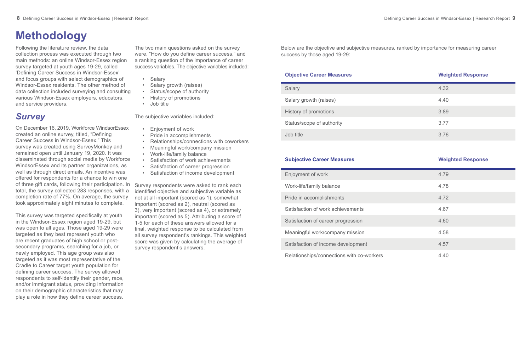# **Methodology**

Following the literature review, the data collection process was executed through two main methods: an online Windsor-Essex region survey targeted at youth ages 19-29, called 'Defining Career Success in Windsor-Essex' and focus groups with select demographics of Windsor-Essex residents. The other method of data collection included surveying and consulting various Windsor-Essex employers, educators, and service providers.

## *Survey*

On December 16, 2019, Workforce WindsorEssex created an online survey, titled, "Defining Career Success in Windsor-Essex." This survey was created using SurveyMonkey and remained open until January 19, 2020. It was disseminated through social media by Workforce WindsorEssex and its partner organizations, as well as through direct emails. An incentive was offered for respondents for a chance to win one of three gift cards, following their participation. In total, the survey collected 283 responses, with a completion rate of 77%. On average, the survey took approximately eight minutes to complete.

- **Salary**
- Salary growth (raises)
- Status/scope of authority
- History of promotions
- Job title

This survey was targeted specifically at youth in the Windsor-Essex region aged 19-29, but was open to all ages. Those aged 19-29 were targeted as they best represent youth who are recent graduates of high school or postsecondary programs, searching for a job, or newly employed. This age group was also targeted as it was most representative of the Cradle to Career target youth population for defining career success. The survey allowed respondents to self-identify their gender, race, and/or immigrant status, providing information on their demographic characteristics that may play a role in how they define career success.

The two main questions asked on the survey were, "How do you define career success," and a ranking question of the importance of career success variables. The objective variables included:

The subjective variables included:

- Enjoyment of work
- Pride in accomplishments
- Relationships/connections with coworkers
- Meaningful work/company mission
- Work-life/family balance
- Satisfaction of work achievements
- Satisfaction of career progression
- Satisfaction of income development

Survey respondents were asked to rank each identified objective and subjective variable as not at all important (scored as 1), somewhat important (scored as 2), neutral (scored as 3), very important (scored as 4), or extremely important (scored as 5). Attributing a score of 1-5 for each of these answers allowed for a final, weighted response to be calculated from all survey respondent's rankings. This weighted score was given by calculating the average of survey respondent's answers.

| <b>Salary</b>             | 4.32 |
|---------------------------|------|
| Salary growth (raises)    | 4.40 |
| History of promotions     | 3.89 |
| Status/scope of authority | 3.77 |
| Job title                 | 3.76 |

| 4.79 |
|------|
| 4.78 |
| 4.72 |
| 4.67 |
| 4.60 |
| 4.58 |
| 4.57 |
| 4.40 |

#### **Subjective Career Measures Weighted Response**

Enjoyment of work

Work-life/family balance

Pride in accomplishments

Satisfaction of work achievements

Satisfaction of career progression

Meaningful work/company mission

Satisfaction of income development

Relationships/connections with co-workers

Below are the objective and subjective measures, ranked by importance for measuring career success by those aged 19-29:

#### **Objective Career Measures** *Weighted Response*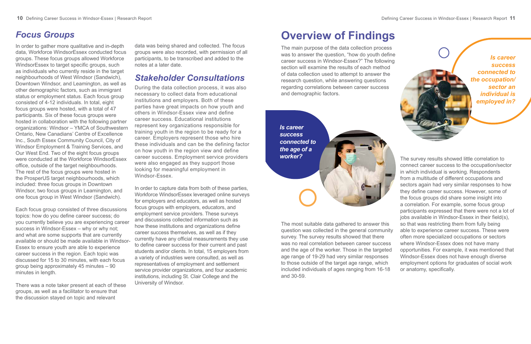# **Overview of Findings**

The main purpose of the data collection process was to answer the question, "how do youth define career success in Windsor-Essex?" The following section will examine the results of each method of data collection used to attempt to answer the research question, while answering questions regarding correlations between career success and demographic factors.

The most suitable data gathered to answer this question was collected in the general community survey. The survey results showed that there was no real correlation between career success and the age of the worker. Those in the targeted age range of 19-29 had very similar responses to those outside of the target age range, which included individuals of ages ranging from 16-18 and 30-59. so that was restricting them from fully being able to experience career success. These were often more specialized occupations or sectors where Windsor-Essex does not have many opportunities. For example, it was mentioned that Windsor-Essex does not have enough diverse employment options for graduates of social work or anatomy, specifically.

The survey results showed little correlation to connect career success to the occupation/sector in which individual is working. Respondents from a multitude of different occupations and sectors again had very similar responses to how they define career success. However, some of the focus groups did share some insight into a correlation. For example, some focus group participants expressed that there were not a lot of jobs available in Windsor-Essex in their field(s),

*Is career success connected to the occupation/ sector an individual is employed in?*



*Is career success connected to the age of a worker?*

## *Focus Groups*

In order to gather more qualitative and in-depth data, Workforce WindsorEssex conducted focus groups. These focus groups allowed Workforce WindsorEssex to target specific groups, such as individuals who currently reside in the target neighbourhoods of West Windsor (Sandwich), Downtown Windsor, and Leamington, as well as other demographic factors, such as immigrant status or employment status. Each focus group consisted of 4-12 individuals. In total, eight focus groups were hosted, with a total of 47 participants. Six of these focus groups were hosted in collaboration with the following partner organizations: Windsor – YMCA of Southwestern Ontario, New Canadians' Centre of Excellence Inc., South Essex Community Council, City of Windsor Employment & Training Services, and Our West End. Two of the eight focus groups were conducted at the Workforce WindsorEssex office, outside of the target neighbourhoods. The rest of the focus groups were hosted in the ProsperUS target neighbourhoods, which included: three focus groups in Downtown Windsor, two focus groups in Leamington, and one focus group in West Windsor (Sandwich).

Each focus group consisted of three discussions topics: how do you define career success; do you currently believe you are experiencing career success in Windsor-Essex – why or why not; and what are some supports that are currently available or should be made available in Windsor-Essex to ensure youth are able to experience career success in the region. Each topic was discussed for 15 to 30 minutes, with each focus group being approximately 45 minutes – 90 minutes in length.

There was a note taker present at each of these groups, as well as a facilitator to ensure that the discussion stayed on topic and relevant

data was being shared and collected. The focus groups were also recorded, with permission of all participants, to be transcribed and added to the notes at a later date.

## *Stakeholder Consultations*

During the data collection process, it was also necessary to collect data from educational institutions and employers. Both of these parties have great impacts on how youth and others in Windsor-Essex view and define career success. Educational institutions represent key organizations responsible for training youth in the region to be ready for a career. Employers represent those who hire these individuals and can be the defining factor on how youth in the region view and define career success. Employment service providers were also engaged as they support those looking for meaningful employment in Windsor-Essex.

In order to capture data from both of these parties, Workforce WindsorEssex leveraged online surveys for employers and educators, as well as hosted focus groups with employers, educators, and employment service providers. These surveys and discussions collected information such as how these institutions and organizations define career success themselves, as well as if they currently have any official measurements they use to define career success for their current and past students and/or clients. In total, 15 employers from a variety of industries were consulted, as well as representatives of employment and settlement service provider organizations, and four academic institutions, including St. Clair College and the University of Windsor.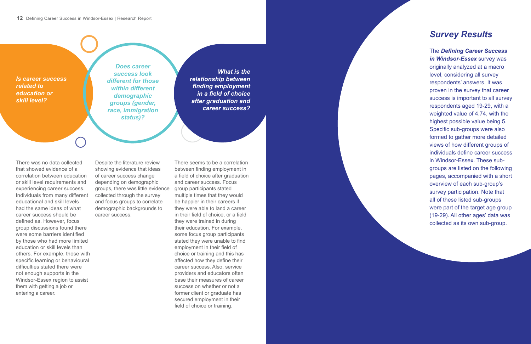*Is career success related to education or skill level?*

### *Survey Results*

The *Defining Career Success in Windsor-Essex* survey was originally analyzed at a macro level, considering all survey respondents' answers. It was proven in the survey that career success is important to all survey respondents aged 19-29, with a weighted value of 4.74, with the highest possible value being 5. Specific sub-groups were also formed to gather more detailed views of how different groups of individuals define career success in Windsor-Essex. These subgroups are listed on the following pages, accompanied with a short overview of each sub-group's survey participation. Note that all of these listed sub-groups were part of the target age group (19-29). All other ages' data was collected as its own sub-group.

*What is the relationship between finding employment in a field of choice after graduation and career success?*

There was no data collected that showed evidence of a correlation between education or skill level requirements and experiencing career success. Individuals from many different educational and skill levels had the same ideas of what career success should be defined as. However, focus group discussions found there were some barriers identified by those who had more limited education or skill levels than others. For example, those with specific learning or behavioural difficulties stated there were not enough supports in the Windsor-Essex region to assist them with getting a job or entering a career.

Despite the literature review showing evidence that ideas of career success change depending on demographic groups, there was little evidence collected through the survey and focus groups to correlate demographic backgrounds to career success.

There seems to be a correlation between finding employment in a field of choice after graduation and career success. Focus group participants stated multiple times that they would be happier in their careers if they were able to land a career in their field of choice, or a field they were trained in during their education. For example, some focus group participants stated they were unable to find employment in their field of choice or training and this has affected how they define their career success. Also, service providers and educators often base their measures of career success on whether or not a former client or graduate has secured employment in their field of choice or training.

*Does career success look different for those within different demographic groups (gender, race, immigration status)?*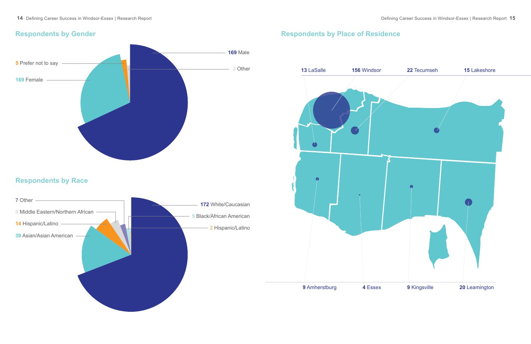

# **Respondents by Place of Residence** Male Female Prefer not to say Other **Respondents by Gender** White/Caucasian Asian/Asian American Middle Eastern/Northern African Hispanic/Latino Black/African American Hispanic/Latino Other **Respondents by Race**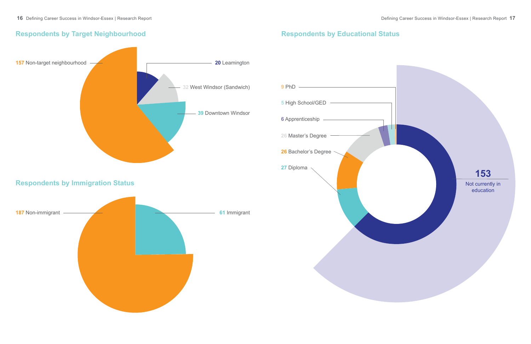### **Respondents by Educational Status**



### **Respondents by Target Neighbourhood**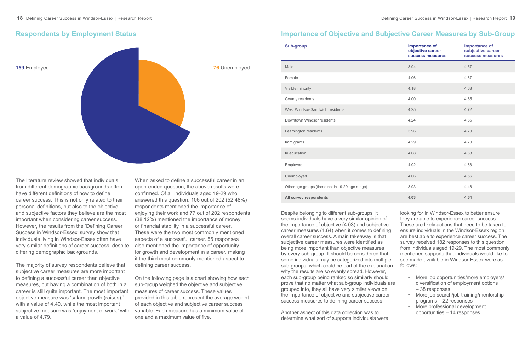| <b>Sub-group</b>                                | <b>Importance of</b><br>objective career<br>success measures | <b>Importance of</b><br>subjective career<br>success measures |
|-------------------------------------------------|--------------------------------------------------------------|---------------------------------------------------------------|
| Male                                            | 3.94                                                         | 4.57                                                          |
| Female                                          | 4.06                                                         | 4.67                                                          |
| Visible minority                                | 4.18                                                         | 4.68                                                          |
| County residents                                | 4.00                                                         | 4.65                                                          |
| West Windsor-Sandwich residents                 | 4.25                                                         | 4.72                                                          |
| Downtown Windsor residents                      | 4.24                                                         | 4.65                                                          |
| Leamington residents                            | 3.96                                                         | 4.70                                                          |
| Immigrants                                      | 4.29                                                         | 4.70                                                          |
| In education                                    | 4.08                                                         | 4.63                                                          |
| Employed                                        | 4.02                                                         | 4.68                                                          |
| Unemployed                                      | 4.06                                                         | 4.56                                                          |
| Other age groups (those not in 19-29 age range) | 3.93                                                         | 4.46                                                          |
| All survey respondents                          | 4.03                                                         | 4.64                                                          |



#### **Respondents by Employment Status**

The literature review showed that individuals from different demographic backgrounds often have different definitions of how to define career success. This is not only related to their personal definitions, but also to the objective and subjective factors they believe are the most important when considering career success. However, the results from the 'Defining Career Success in Windsor-Essex' survey show that individuals living in Windsor-Essex often have very similar definitions of career success, despite differing demographic backgrounds.

The majority of survey respondents believe that subjective career measures are more important to defining a successful career than objective measures, but having a combination of both in a career is still quite important. The most important objective measure was 'salary growth (raises),' with a value of 4.40, while the most important subjective measure was 'enjoyment of work,' with a value of 4.79.

When asked to define a successful career in an open-ended question, the above results were confirmed. Of all individuals aged 19-29 who answered this question, 106 out of 202 (52.48%) respondents mentioned the importance of enjoying their work and 77 out of 202 respondents (38.12%) mentioned the importance of money or financial stability in a successful career. These were the two most commonly mentioned aspects of a successful career. 55 responses also mentioned the importance of opportunity for growth and development in a career, making it the third most commonly mentioned aspect to defining career success.

- -
	- More professional development opportunities – 14 responses

On the following page is a chart showing how each sub-group weighed the objective and subjective measures of career success. These values provided in this table represent the average weight of each objective and subjective career success variable. Each measure has a minimum value of one and a maximum value of five.

Despite belonging to different sub-groups, it seems individuals have a very similar opinion of the importance of objective (4.03) and subjective career measures (4.64) when it comes to defining overall career success. A main takeaway is that subjective career measures were identified as being more important than objective measures by every sub-group. It should be considered that some individuals may be categorized into multiple sub-groups, which could be part of the explanation why the results are so evenly spread. However, each sub-group being ranked so similarly should prove that no matter what sub-group individuals are grouped into, they all have very similar views on the importance of objective and subjective career success measures to defining career success. looking for in Windsor-Essex to better ensure they are able to experience career success. These are likely actions that need to be taken to ensure individuals in the Windsor-Essex region are best able to experience career success. The survey received 182 responses to this question from individuals aged 19-29. The most commonly mentioned supports that individuals would like to see made available in Windsor-Essex were as follows: • More job opportunities/more employers/ diversification of employment options – 38 responses • More job search/job training/mentorship programs – 22 responses

Another aspect of this data collection was to determine what sort of supports individuals were

### **Importance of Objective and Subjective Career Measures by Sub-Group**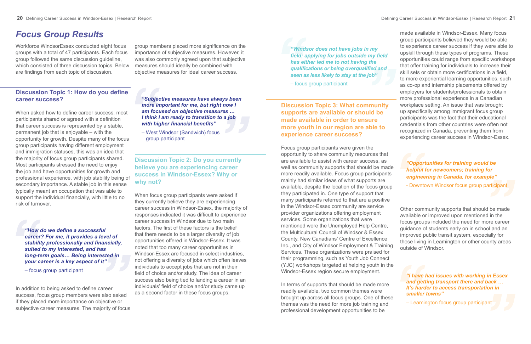### *Focus Group Results*

Workforce WindsorEssex conducted eight focus groups with a total of 47 participants. Each focus group followed the same discussion guideline, which consisted of three discussion topics. Below are findings from each topic of discussion.

### **Discussion Topic 1: How do you define career success?**

When asked how to define career success, most participants shared or agreed with a definition that career success is represented by a stable, permanent job that is enjoyable – with the opportunity for growth. Despite many of the focus group participants having different employment and immigration statuses, this was an idea that the majority of focus group participants shared. Most participants stressed the need to enjoy the job and have opportunities for growth and professional experience, with job stability being of secondary importance. A stable job in this sense typically meant an occupation that was able to support the individual financially, with little to no risk of turnover.

In addition to being asked to define career success, focus group members were also asked if they placed more importance on objective or subjective career measures. The majority of focus

group members placed more significance on the importance of subjective measures. However, it was also commonly agreed upon that subjective measures should ideally be combined with objective measures for ideal career success.

**Discussion Topic 2: Do you currently believe you are experiencing career success in Windsor-Essex? Why or why not?**

When focus group participants were asked if they currently believe they are experiencing career success in Windsor-Essex, the majority of responses indicated it was difficult to experience career success in Windsor due to two main factors. The first of these factors is the belief that there needs to be a larger diversity of job opportunities offered in Windsor-Essex. It was noted that too many career opportunities in Windsor-Essex are focused in select industries, not offering a diversity of jobs which often leaves individuals to accept jobs that are not in their field of choice and/or study. The idea of career success also being tied to landing a career in an individuals' field of choice and/or study came up as a second factor in these focus groups.

*"How do we define a successful career? For me, it provides a level of stability professionally and financially, suited to my interested, and has long-term goals… Being interested in your career is a key aspect of it"*

– focus group participant

*"Subjective measures have always been more important for me, but right now I am focused on objective measures … I think I am ready to transition to a job with higher financial benefits"* 

– West Windsor (Sandwich) focus group participant

**Discussion Topic 3: What community supports are available or should be made available in order to ensure more youth in our region are able to experience career success?**

Focus group participants were given the opportunity to share community resources that are available to assist with career success, as well as community supports that should be made more readily available. Focus group participants mainly had similar ideas of what supports are available, despite the location of the focus group they participated in. One type of support that many participants referred to that are a positive in the Windsor-Essex community are service provider organizations offering employment services. Some organizations that were mentioned were the Unemployed Help Centre, the Multicultural Council of Windsor & Essex County, New Canadians' Centre of Excellence Inc., and City of Windsor Employment & Training Services. These organizations were praised for their programming, such as Youth Job Connect (YJC) workshops targeted at helping youth in the Windsor-Essex region secure employment.

In terms of supports that should be made more readily available, two common themes were brought up across all focus groups. One of these themes was the need for more job training and professional development opportunities to be

made available in Windsor-Essex. Many focus group participants believed they would be able to experience career success if they were able to upskill through these types of programs. These opportunities could range from specific workshops that offer training for individuals to increase their skill sets or obtain more certifications in a field, to more experiential learning opportunities, such as co-op and internship placements offered by employers for students/professionals to obtain more professional experience in a Canadian workplace setting. An issue that was brought up specifically among immigrant focus group participants was the fact that their educational credentials from other countries were often not recognized in Canada, preventing them from experiencing career success in Windsor-Essex.

Other community supports that should be made available or improved upon mentioned in the focus groups included the need for more career guidance of students early on in school and an improved public transit system, especially for those living in Leamington or other county areas outside of Windsor.

*"Windsor does not have jobs in my field; applying for jobs outside my field has either led me to not having the qualifications or being overqualified and seen as less likely to stay at the job"* 

– focus group participant

*"Opportunities for training would be helpful for newcomers; training for engineering in Canada, for example"*  - Downtown Windsor focus group participant

*"I have had issues with working in Essex and getting transport there and back … It's harder to access transportation in smaller towns"*

– Leamington focus group participant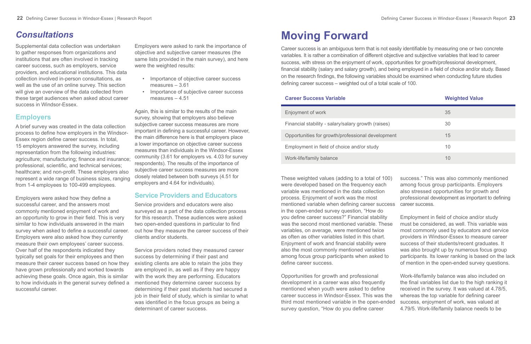## *Consultations*

Supplemental data collection was undertaken to gather responses from organizations and institutions that are often involved in tracking career success, such as employers, service providers, and educational institutions. This data collection involved in-person consultations, as well as the use of an online survey. This section will give an overview of the data collected from these target audiences when asked about career success in Windsor-Essex.

### **Employers**

A brief survey was created in the data collection process to define how employers in the Windsor-Essex region define career success. In total, 15 employers answered the survey, including representation from the following industries: agriculture; manufacturing; finance and insurance; professional, scientific, and technical services; healthcare; and non-profit. These employers also represent a wide range of business sizes, ranging from 1-4 employees to 100-499 employees.

Employers were asked how they define a successful career, and the answers most commonly mentioned enjoyment of work and an opportunity to grow in their field. This is very similar to how individuals answered in the main survey when asked to define a successful career. Employers were also asked how they currently measure their own employees' career success. Over half of the respondents indicated they typically set goals for their employees and then measure their career success based on how they have grown professionally and worked towards achieving these goals. Once again, this is similar to how individuals in the general survey defined a successful career.

Employers were asked to rank the importance of objective and subjective career measures (the same lists provided in the main survey), and here were the weighted results:

- Importance of objective career success measures – 3.61
- Importance of subjective career success measures – 4.51

Again, this is similar to the results of the main survey, showing that employers also believe subjective career success measures are more important in defining a successful career. However, the main difference here is that employers place a lower importance on objective career success measures than individuals in the Windsor-Essex community (3.61 for employers vs. 4.03 for survey respondents). The results of the importance of subjective career success measures are more closely related between both surveys (4.51 for employers and 4.64 for individuals).

### **Service Providers and Educators**

Service providers and educators were also surveyed as a part of the data collection process for this research. These audiences were asked two open-ended questions in particular to find out how they measure the career success of their clients and/or students.

Service providers noted they measured career success by determining if their past and existing clients are able to retain the jobs they are employed in, as well as if they are happy with the work they are performing. Educators mentioned they determine career success by determining if their past students had secured a job in their field of study, which is similar to what was identified in the focus groups as being a determinant of career success.

# **Moving Forward**

Career success is an ambiguous term that is not easily identifiable by measuring one or two concrete variables. It is rather a combination of different objective and subjective variables that lead to career success, with stress on the enjoyment of work, opportunities for growth/professional development, financial stability (salary and salary growth), and being employed in a field of choice and/or study. Based on the research findings, the following variables should be examined when conducting future studies defining career success – weighted out of a total scale of 100.

### **Career Success Variable <b>Weighted Value**

Enjoyment of work

Financial stability - salary/salary growth (raises) 30

Opportunities for growth/professional development

Employment in field of choice and/or study

Work-life/family balance

These weighted values (adding to a total of 100) were developed based on the frequency each variable was mentioned in the data collection process. Enjoyment of work was the most mentioned variable when defining career success in the open-ended survey question, "How do you define career success?" Financial stability was the second most mentioned variable. These variables, on average, were mentioned twice as often as other variables listed in this chart. Enjoyment of work and financial stability were also the most commonly mentioned variables among focus group participants when asked to define career success. success." This was also commonly mentioned among focus group participants. Employers also stressed opportunities for growth and professional development as important to defining career success. Employment in field of choice and/or study must be considered, as well. This variable was most commonly used by educators and service providers in Windsor-Essex to measure career success of their students/recent graduates. It was also brought up by numerous focus group participants. Its lower ranking is based on the lack of mention in the open-ended survey questions.

Opportunities for growth and professional development in a career was also frequently mentioned when youth were asked to define career success in Windsor-Essex. This was the third most mentioned variable in the open-ended survey question, "How do you define career Work-life/family balance was also included on the final variables list due to the high ranking it received in the survey. It was valued at 4.78/5, whereas the top variable for defining career success, enjoyment of work, was valued at 4.79/5. Work-life/family balance needs to be

|    | <b>weighted value</b> |
|----|-----------------------|
|    | 35                    |
|    | 30                    |
| nt | 15                    |
|    | 10                    |
|    | 10                    |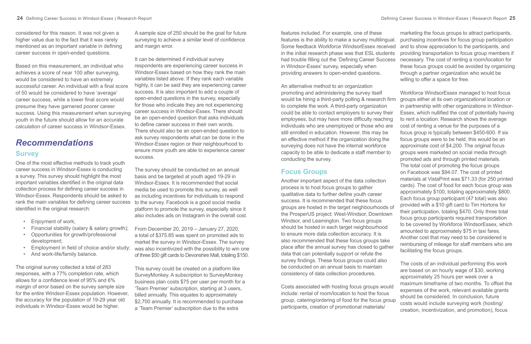considered for this reason. It was not given a higher value due to the fact that it was rarely mentioned as an important variable in defining career success in open-ended questions.

Based on this measurement, an individual who achieves a score of near 100 after surveying, would be considered to have an extremely successful career. An individual with a final score of 50 would be considered to have 'average' career success, while a lower final score would presume they have garnered poorer career success. Using this measurement when surveying youth in the future should allow for an accurate calculation of career success in Windsor-Essex.

### *Recommendations* **Survey**

One of the most effective methods to track youth career success in Windsor-Essex is conducting a survey. This survey should highlight the most important variables identified in the original data collection process for defining career success in Windsor-Essex. Respondents should be asked to rank the main variables for defining career success identified in the original research:

- Enjoyment of work;
- Financial stability (salary & salary growth);
- Opportunities for growth/professional development;
- Employment in field of choice and/or study;
- And work-life/family balance.

The original survey collected a total of 283 responses, with a 77% completion rate, which allows for a confidence level of 95% and 6% margin of error based on the survey sample size for the entire Windsor-Essex population. However, the accuracy for the population of 19-29 year old individuals in Windsor-Essex would be higher.

A sample size of 250 should be the goal for future surveying to achieve a similar level of confidence and margin error.

It can be determined if individual survey respondents are experiencing career success in Windsor-Essex based on how they rank the main variables listed above. If they rank each variable highly, it can be said they are experiencing career success. It is also important to add a couple of open-ended questions in the survey, especially for those who indicate they are not experiencing career success in Windsor-Essex. There should be an open-ended question that asks individuals to define career success in their own words. There should also be an open-ended question to ask survey respondents what can be done in the Windsor-Essex region or their neighbourhood to ensure more youth are able to experience career success.

The survey should be conducted on an annual basis and be targeted at youth aged 19-29 in Windsor-Essex. It is recommended that social media be used to promote this survey, as well as including incentives for individuals to respond to the survey. Facebook is a good social media platform to promote the survey, especially since it also includes ads on Instagram in the overall cost.

From December 20, 2019 – January 27, 2020, a total of \$375.85 was spent on promoted ads to market the survey in Windsor-Essex. The survey was also incentivized with the possibility to win one of three \$50 gift cards to Devonshire Mall, totaling \$150.

This survey could be created on a platform like SurveyMonkey. A subscription to SurveyMonkey business plan costs \$75 per user per month for a 'Team Premier' subscription, starting at 3 users, billed annually. This equates to approximately \$2,700 annually. It is recommended to purchase a 'Team Premier' subscription due to the extra

### **Focus Groups**

features included. For example, one of these features is the ability to make a survey multilingual. Some feedback Workforce WindsorEssex received in the initial research phase was that ESL students had trouble filling out the 'Defining Career Success in Windsor-Essex' survey, especially when providing answers to open-ended questions. marketing the focus groups to attract participants, purchasing incentives for focus group participation and to show appreciation to the participants, and providing transportation to focus group members if necessary. The cost of renting a room/location for these focus groups could be avoided by organizing through a partner organization who would be willing to offer a space for free.

An alternative method to an organization Workforce WindsorEssex managed to host focus groups either at its own organizational location or in partnership with other organizations in Windsor-Essex, which nullified the cost of potentially having to rent a location. Research shows the average cost of renting a venue for the purposes of a focus group is typically between \$450-600. If six focus groups were to be held, this would be an approximate cost of \$4,200. The original focus groups were marketed on social media through promoted ads and through printed materials. The total cost of promoting the focus groups on Facebook was \$94.07. The cost of printed materials at VistaPrint was \$71.33 (for 250 printed cards). The cost of food for each focus group was approximately \$100, totaling approximately \$800. Each focus group participant (47 total) was also provided with a \$10 gift card to Tim Hortons for their participation, totaling \$470. Only three total focus group participants required transportation to be covered by Workforce WindsorEssex, which amounted to approximately \$75 in taxi fares. Another cost that may need to be considered is reimbursing of mileage for staff members who are facilitating the focus groups.

promoting and administering the survey itself would be hiring a third-party polling & research firm to complete the work. A third-party organization could be able to contact employers to survey their employees, but may have more difficulty reaching individuals who are unemployed or those who are still enrolled in education. However, this may be an effective method if the organization doing the surveying does not have the internal workforce capacity to be able to dedicate a staff member to conducting the survey. Another important aspect of the data collection process is to host focus groups to gather qualitative data to further define youth career success. It is recommended that these focus groups are hosted in the target neighbourhoods of the ProsperUS project: West-Windsor, Downtown Windsor, and Leamington. Two focus groups should be hosted in each target neighbourhood to ensure more data collection accuracy. It is also recommended that these focus groups take place after the annual survey has closed to gather data that can potentially support or refute the survey findings. These focus groups could also be conducted on an annual basis to maintain consistency of data collection procedures. The costs of an individual performing this work are based on an hourly wage of \$30, working

Costs associated with hosting focus groups would include: rental of room/location to host the focus group, catering/ordering of food for the focus group participants, creation of promotional materials/ approximately 25 hours per week over a maximum timeframe of two months. To offset the expenses of the work, relevant available grants should be considered. In conclusion, future costs would include surveying work (hosting/ creation, incentivization, and promotion), focus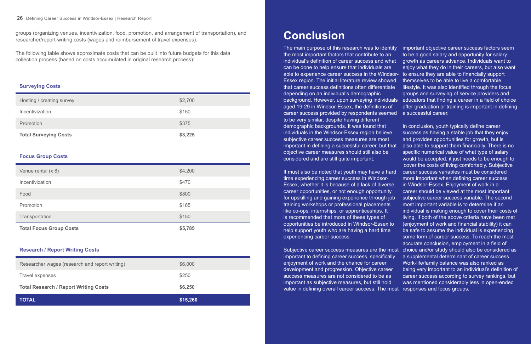# **Conclusion**

The main purpose of this research was to identify the most important factors that contribute to an individual's definition of career success and what can be done to help ensure that individuals are able to experience career success in the Windsor- to ensure they are able to financially support Essex region. The initial literature review showed that career success definitions often differentiate depending on an individual's demographic background. However, upon surveying individuals educators that finding a career in a field of choice aged 19-29 in Windsor-Essex, the definitions of career success provided by respondents seemed to be very similar, despite having different important objective career success factors seem to be a good salary and opportunity for salary growth as careers advance. Individuals want to enjoy what they do in their careers, but also want themselves to be able to live a comfortable lifestyle. It was also identified through the focus groups and surveying of service providers and after graduation or training is important in defining a successful career. In conclusion, youth typically define career success as having a stable job that they enjoy and provides opportunities for growth, but is also able to support them financially. There is no specific numerical value of what type of salary would be accepted, it just needs to be enough to

Subjective career success measures are the most choice and/or study should also be considered as 'cover the costs of living comfortably. Subjective career success variables must be considered more important when defining career success in Windsor-Essex. Enjoyment of work in a career should be viewed at the most important subjective career success variable. The second most important variable is to determine if an individual is making enough to cover their costs of living. If both of the above criteria have been met (enjoyment of work and financial stability) it can be safe to assume the individual is experiencing some form of career success. To reach the most accurate conclusion, employment in a field of a supplemental determinant of career success. Work-life/family balance was also ranked as being very important to an individual's definition of career success according to survey rankings, but was mentioned considerably less in open-ended

demographic backgrounds. It was found that individuals in the Windsor-Essex region believe subjective career success measures are most important in defining a successful career, but that objective career measures should still also be considered and are still quite important. It must also be noted that youth may have a hard time experiencing career success in Windsor-Essex, whether it is because of a lack of diverse career opportunities, or not enough opportunity for upskilling and gaining experience through job training workshops or professional placements like co-ops, internships, or apprenticeships. It is recommended that more of these types of opportunities be introduced in Windsor-Essex to help support youth who are having a hard time experiencing career success. important to defining career success, specifically enjoyment of work and the chance for career development and progression. Objective career success measures are not considered to be as important as subjective measures, but still hold value in defining overall career success. The most responses and focus groups.

groups (organizing venues, incentivization, food, promotion, and arrangement of transportation), and researcher/report-writing costs (wages and reimbursement of travel expenses).

The following table shows approximate costs that can be built into future budgets for this data collection process (based on costs accumulated in original research process):

#### **Surveying Costs**

| Hosting / creating survey    | \$2,700 |
|------------------------------|---------|
| Incentivization              | \$150   |
| Promotion                    | \$375   |
| <b>Total Surveying Costs</b> | \$3,225 |

#### **Focus Group Costs**

| <b>Total Focus Group Costs</b> | \$5,785 |
|--------------------------------|---------|
| Transportation                 | \$150   |
| Promotion                      | \$165   |
| Food                           | \$800   |
| Incentivization                | \$470   |
| Venue rental (x 8)             | \$4,200 |

#### **Research / Report Writing Costs**

| <b>Total Research / Report Writing Costs</b><br>\$6,250   |  |
|-----------------------------------------------------------|--|
|                                                           |  |
| \$250<br>Travel expenses                                  |  |
| Researcher wages (research and report writing)<br>\$6,000 |  |